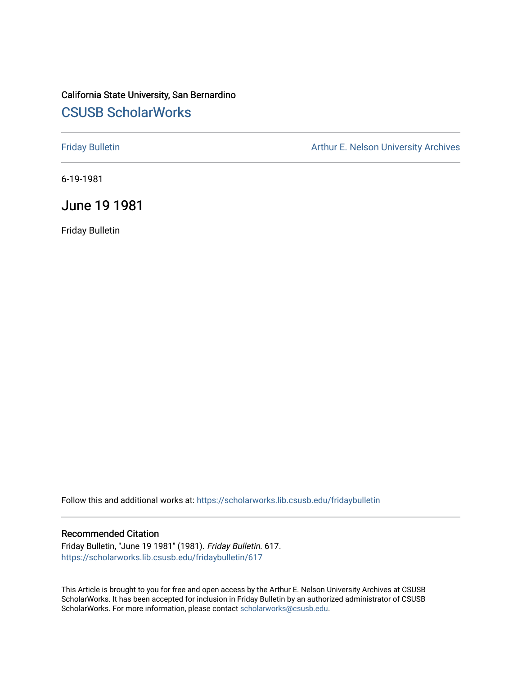# California State University, San Bernardino [CSUSB ScholarWorks](https://scholarworks.lib.csusb.edu/)

[Friday Bulletin](https://scholarworks.lib.csusb.edu/fridaybulletin) **Arthur E. Nelson University Archives** Arthur E. Nelson University Archives

6-19-1981

# June 19 1981

Friday Bulletin

Follow this and additional works at: [https://scholarworks.lib.csusb.edu/fridaybulletin](https://scholarworks.lib.csusb.edu/fridaybulletin?utm_source=scholarworks.lib.csusb.edu%2Ffridaybulletin%2F617&utm_medium=PDF&utm_campaign=PDFCoverPages)

## Recommended Citation

Friday Bulletin, "June 19 1981" (1981). Friday Bulletin. 617. [https://scholarworks.lib.csusb.edu/fridaybulletin/617](https://scholarworks.lib.csusb.edu/fridaybulletin/617?utm_source=scholarworks.lib.csusb.edu%2Ffridaybulletin%2F617&utm_medium=PDF&utm_campaign=PDFCoverPages)

This Article is brought to you for free and open access by the Arthur E. Nelson University Archives at CSUSB ScholarWorks. It has been accepted for inclusion in Friday Bulletin by an authorized administrator of CSUSB ScholarWorks. For more information, please contact [scholarworks@csusb.edu.](mailto:scholarworks@csusb.edu)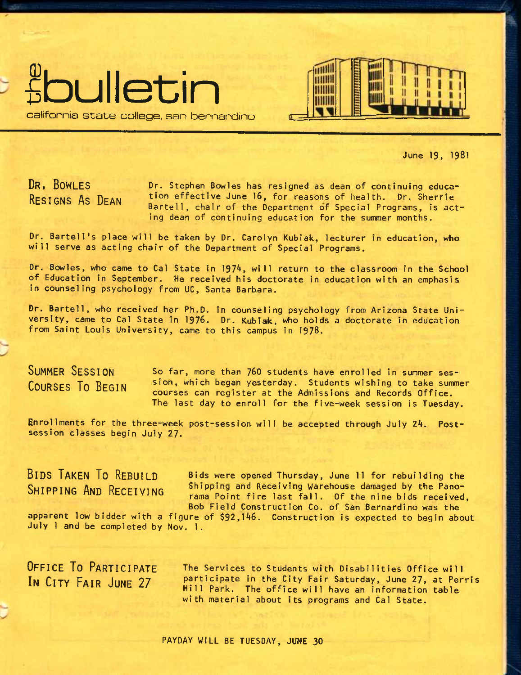

California state college, san bennardino

June 19» 1981

DR. BOWLES RESIGNS AS DEAN

Dr. Stephen Bowles has resigned as dean of continuing education effective June 16, for reasons of health. Dr. Sherrie Bartell, chair of the Department of Special Programs, is acting dean of continuing education for the summer months.

THILL нині

MINI шш

TIM

Dr. Bartell's place will be taken by Dr. Carolyn Kubiak, lecturer in education, who will serve as acting chair of the Department of Special Programs.

Dr. Bowles, who came to Cal State in 1974, will return to the classroom in the School of Education in September. He received his doctorate in education with an emphasis in counseling psychology from UC, Santa Barbara.

Dr. Bartell, who received her Ph.D. in counseling psychology from Arizona State University, came to Cal State in 1976. Dr. Kubiak, who holds a doctorate in education from Saint Louis University, came to this campus in 1978.

SUMMER SESSION COURSES TO BEGIN

So far, more than 760 students have enrolled in summer session, which began yesterday. Students wishing to take summer courses can register at the Admissions and Records Office. The last day to enroll for the five-week session is Tuesday.

Enrollments for the three-week post-session will be accepted through July *2k.*  Postsession classes begin July 27.

BIDS TAKEN TO REBUILD SHIPPING AND RECEIVING

Bids were opened Thursday, June 11 for rebuilding the Shipping and Receiving Warehouse damaged by the Panorama Point fire last fall. Of the nine bids received, Bob Field Construction Co. of San Bernardino was the

apparent low bidder with a figure of \$92,146. Construction is expected to begin about July 1 and be completed by Nov. 1.

OFFICE TO PARTICIPATE IN CITY FAIR JUNE 27

The Services to Students with Disabilities Office will participate in the City Fair Saturday, June 27, at Perris Hill Park. The office will have an information table with material about its programs and Cal State.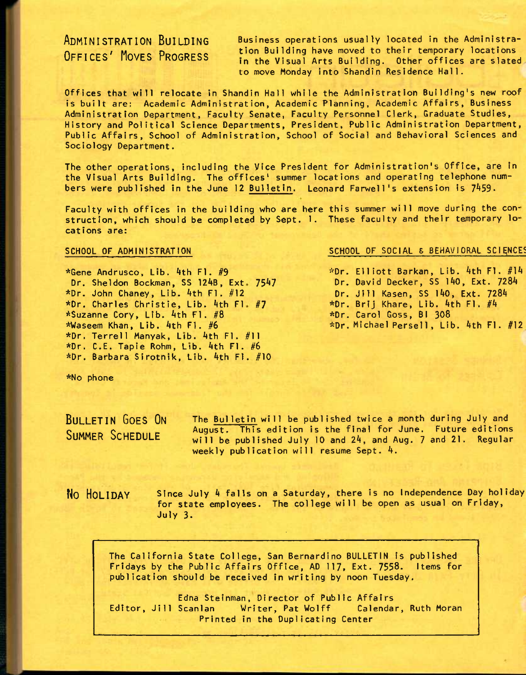ADMINISTRATION BUILDING OFFICES' HOVES PROGRESS

Business operations usually located in the Administration Building have moved to their temporary locations in the Visual Arts Building. Other offices are slated to move Monday into Shandin Residence Hall.

Offices that will relocate in Shandin Hall while the Administration Building's new roof is built are: Academic Administration, Academic Planning, Academic Affairs, Business Administration Department, Faculty Senate, Faculty Personnel Clerk, Graduate Studies, History and Political Science Departments, President, Public Administration Department, Public Affairs, School of Administration, School of Social and Behavioral Sciences and Sociology Department.

The other operations, Including the Vice President for Administration's Office, are In the Visual Arts Building. The offices' summer locations and operating telephone numbers were published in the June 12 Bulletin. Leonard Farwell's extension is 7459.

Faculty with offices in the building who are here this summer will move during the construction, which should be completed by Sept. 1. These faculty and their temporary lo cations are:

Dr. Sheldon Bockman, SS 124B, Ext. 7547 \*Dr. Charles Christie, Lib. 4th Fl. #7 \*Gene Andrusco, Lib. Ath Fl. #9 \*Dr. John Chaney, Lib. Ath Fl, #12 \*Suzanne Cory, Lib. 4th Fl. #8 \*Waseem Khan, Lib. Ath Fl. #6 \*Dr. Terrell Manyak, Lib. Ath Fl. #11 \*Dr. C.E. Tapie Rohm, Lib. Ath Fl. #6 \*Dr. Barbara Slrotnik, Lib. Ath Fl. #10

#### SCHOOL OF ADMINISTRATION SCHOOL OF SOCIAL & BEHAVIORAL SCIENCES

\*Dr. Elliott Barkan, Lib. Ath Fl. #1A Dr. David Decker, SS 140, Ext. 7284 Dr. Jill Kasen, SS lAO, Ext. 728A \*Dr. Brij Khare, Lib. Ath Fl. #A \*Dr. Carol Goss, Bl 308 \*Dr. Michael Persel1 , Lib. AthFl. #12

\*No phone

BULLETIN GOES ON SUMMER SCHEDULE

The Bulletin will be published twice a month during July and August. This edition is the final for June. Future editions will be published July 10 and 24, and Aug. 7 and 21. Regular weekly publication will resume Sept. A.

**No** HOLIDAY

Since July 4 falls on a Saturday, there is no Independence Day holiday for state employees. The college will be open as usual on Friday, July 3.

The California State College, San Bernardino BULLETIN Is published Fridays by the Public Affairs Office, AD 117, Ext. 7558. Items for publication should be received In writing by noon Tuesday.

Edna Steinman, Director of Public Affairs Editor, Jill Scanlan Writer, Pat Wolff Calendar, Ruth Moran Printed in the Duplicating Center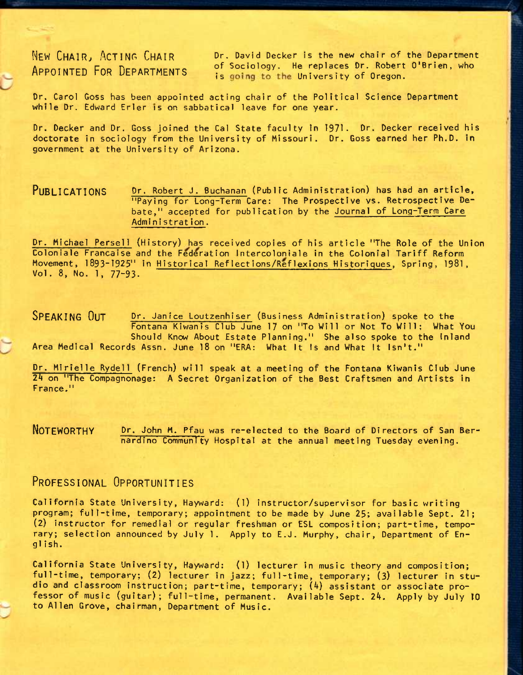NEW CHAIR, ACTING CHAIR Dr. David Decker is the new chair of the Department APPOINTED FOR DEPARTMENTS of Sociology. He replaces Dr. Robert O'Brien, who is going to the University of Oregon.

Dr. Carol Goss has been appointed acting chair of the Political Science Department while Dr. Edward Erler is on sabbatical leave for one year.

Dr. Decker and Dr. Goss joined the Gal State faculty In 1971. Dr. Decker received his doctorate in sociology from the University of Missouri. Dr. Goss earned her Ph.D. in government at the University of Arizona.

PUBLICATIONS **or.** Robert J. Buchanan (Public Administration) has had an article, "Paying for Long-Term Care: The Prospective vs. Retrospective Debate," accepted for publication by the Journal of Long-Term Care Administration.

Dr. Michael Persell (History) has received copies of his article "The Role of the Union Coloniale Francaise and the Federation Intercoloniale in the Colonial Tariff Reform Movement, 1893-1925" in Historical Reflections/Reflexions Historiques, Spring, 1981, Vol. 8, No. 1, 77-93.

SPEAKING OUT Dr. Janice Loutzenhiser (Business Administration) spoke to the Fontana Kiwanis Club June 17 on "To Will or Not To Will: What You Should Know About Estate Planning." She also spoke to the Inland Area Medical Records Assn. June 18 on "ERA: What It Is and What It Isn't."

Dr. Mirielle Rydell (French) will speak at a meeting of the Fontana Kiwanis Club June 24 on "The Compagnonage: A Secret Organization of the Best Craftsmen and Artists in France."

NOTEWORTHY **or.** John M. Pfau was re-elected to the Board of Directors of San Bernardino Community Hospital at the annual meeting Tuesday evening.

## PROFESSIONAL OPPORTUNITIES

California State University, Hayward: (1) instructor/supervisor for basic writing program; full-time, temporary; appointment to be made by June 25; available Sept. 21; (2) instructor for remedial or regular freshman or ESL composition; part-time, temporary; selection announced by July 1. Apply to E.J. Murphy, chair. Department of Engl ish.

California State University, Hayward: (1) lecturer in music theory and composition; full-time, temporary; (2) lecturer in jazz; full-time, temporary; (3) lecturer in studio and classroom instruction; part-time, temporary; (A) assistant or associate professor of music (guitar); full-time, permanent. Available Sept. 24. Apply by July 10 to Allen Grove, chairman, Department of Music.